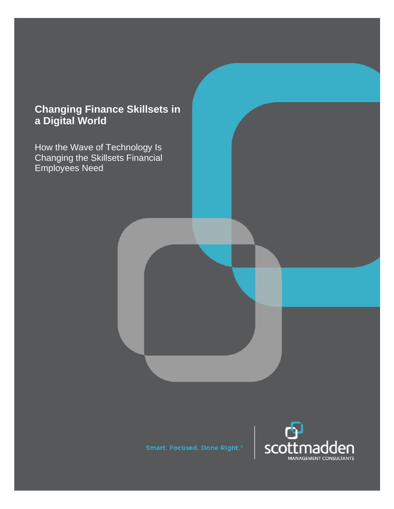# **Changing Finance Skillsets in a Digital World**

How the Wave of Technology Is Changing the Skillsets Financial Employees Need

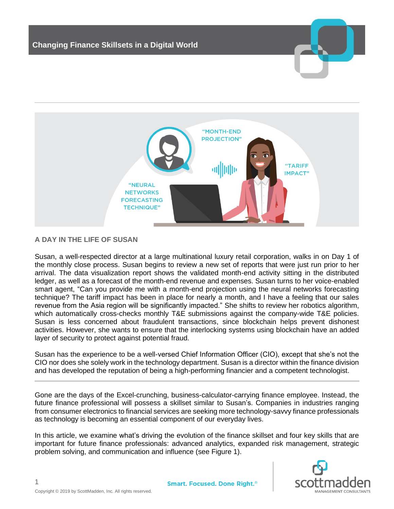

# **A DAY IN THE LIFE OF SUSAN**

Susan, a well-respected director at a large multinational luxury retail corporation, walks in on Day 1 of the monthly close process. Susan begins to review a new set of reports that were just run prior to her arrival. The data visualization report shows the validated month-end activity sitting in the distributed ledger, as well as a forecast of the month-end revenue and expenses. Susan turns to her voice-enabled smart agent, "Can you provide me with a month-end projection using the neural networks forecasting technique? The tariff impact has been in place for nearly a month, and I have a feeling that our sales revenue from the Asia region will be significantly impacted." She shifts to review her robotics algorithm, which automatically cross-checks monthly T&E submissions against the company-wide T&E policies. Susan is less concerned about fraudulent transactions, since blockchain helps prevent dishonest activities. However, she wants to ensure that the interlocking systems using blockchain have an added layer of security to protect against potential fraud.

Susan has the experience to be a well-versed Chief Information Officer (CIO), except that she's not the CIO nor does she solely work in the technology department. Susan is a director within the finance division and has developed the reputation of being a high-performing financier and a competent technologist.

Gone are the days of the Excel-crunching, business-calculator-carrying finance employee. Instead, the future finance professional will possess a skillset similar to Susan's. Companies in industries ranging from consumer electronics to financial services are seeking more technology-savvy finance professionals as technology is becoming an essential component of our everyday lives.

In this article, we examine what's driving the evolution of the finance skillset and four key skills that are important for future finance professionals: advanced analytics, expanded risk management, strategic problem solving, and communication and influence (see Figure 1).



1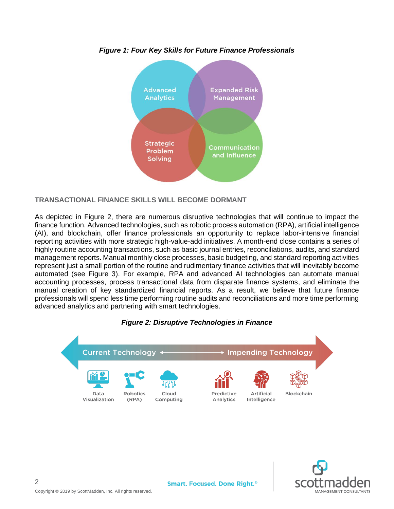

*Figure 1: Four Key Skills for Future Finance Professionals*

**TRANSACTIONAL FINANCE SKILLS WILL BECOME DORMANT**

As depicted in Figure 2, there are numerous disruptive technologies that will continue to impact the finance function. Advanced technologies, such as robotic process automation (RPA), artificial intelligence (AI), and blockchain, offer finance professionals an opportunity to replace labor-intensive financial reporting activities with more strategic high-value-add initiatives. A month-end close contains a series of highly routine accounting transactions, such as basic journal entries, reconciliations, audits, and standard management reports. Manual monthly close processes, basic budgeting, and standard reporting activities represent just a small portion of the routine and rudimentary finance activities that will inevitably become automated (see Figure 3). For example, RPA and advanced AI technologies can automate manual accounting processes, process transactional data from disparate finance systems, and eliminate the manual creation of key standardized financial reports. As a result, we believe that future finance professionals will spend less time performing routine audits and reconciliations and more time performing advanced analytics and partnering with smart technologies.





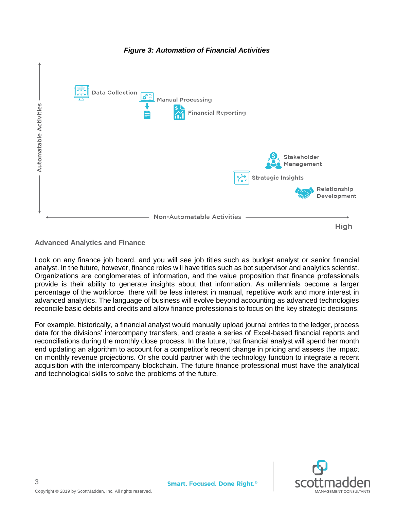

## *Figure 3: Automation of Financial Activities*

# **Advanced Analytics and Finance**

Look on any finance job board, and you will see job titles such as budget analyst or senior financial analyst. In the future, however, finance roles will have titles such as bot supervisor and analytics scientist. Organizations are conglomerates of information, and the value proposition that finance professionals provide is their ability to generate insights about that information. As millennials become a larger percentage of the workforce, there will be less interest in manual, repetitive work and more interest in advanced analytics. The language of business will evolve beyond accounting as advanced technologies reconcile basic debits and credits and allow finance professionals to focus on the key strategic decisions.

For example, historically, a financial analyst would manually upload journal entries to the ledger, process data for the divisions' intercompany transfers, and create a series of Excel-based financial reports and reconciliations during the monthly close process. In the future, that financial analyst will spend her month end updating an algorithm to account for a competitor's recent change in pricing and assess the impact on monthly revenue projections. Or she could partner with the technology function to integrate a recent acquisition with the intercompany blockchain. The future finance professional must have the analytical and technological skills to solve the problems of the future.

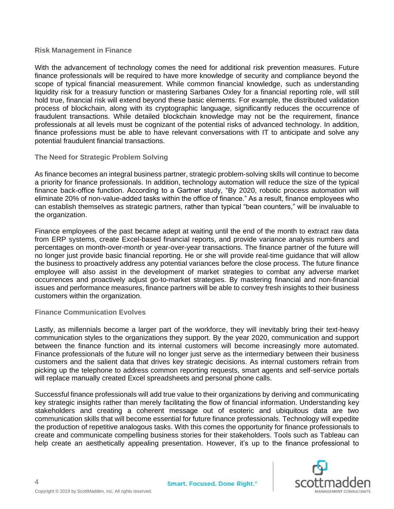## **Risk Management in Finance**

With the advancement of technology comes the need for additional risk prevention measures. Future finance professionals will be required to have more knowledge of security and compliance beyond the scope of typical financial measurement. While common financial knowledge, such as understanding liquidity risk for a treasury function or mastering Sarbanes Oxley for a financial reporting role, will still hold true, financial risk will extend beyond these basic elements. For example, the distributed validation process of blockchain, along with its cryptographic language, significantly reduces the occurrence of fraudulent transactions. While detailed blockchain knowledge may not be the requirement, finance professionals at all levels must be cognizant of the potential risks of advanced technology. In addition, finance professions must be able to have relevant conversations with IT to anticipate and solve any potential fraudulent financial transactions.

## **The Need for Strategic Problem Solving**

As finance becomes an integral business partner, strategic problem-solving skills will continue to become a priority for finance professionals. In addition, technology automation will reduce the size of the typical finance back-office function. According to a Gartner study, "By 2020, robotic process automation will eliminate 20% of non-value-added tasks within the office of finance." As a result, finance employees who can establish themselves as strategic partners, rather than typical "bean counters," will be invaluable to the organization.

Finance employees of the past became adept at waiting until the end of the month to extract raw data from ERP systems, create Excel-based financial reports, and provide variance analysis numbers and percentages on month-over-month or year-over-year transactions. The finance partner of the future will no longer just provide basic financial reporting. He or she will provide real-time guidance that will allow the business to proactively address any potential variances before the close process. The future finance employee will also assist in the development of market strategies to combat any adverse market occurrences and proactively adjust go-to-market strategies. By mastering financial and non-financial issues and performance measures, finance partners will be able to convey fresh insights to their business customers within the organization.

#### **Finance Communication Evolves**

Lastly, as millennials become a larger part of the workforce, they will inevitably bring their text-heavy communication styles to the organizations they support. By the year 2020, communication and support between the finance function and its internal customers will become increasingly more automated. Finance professionals of the future will no longer just serve as the intermediary between their business customers and the salient data that drives key strategic decisions. As internal customers refrain from picking up the telephone to address common reporting requests, smart agents and self-service portals will replace manually created Excel spreadsheets and personal phone calls.

Successful finance professionals will add true value to their organizations by deriving and communicating key strategic insights rather than merely facilitating the flow of financial information. Understanding key stakeholders and creating a coherent message out of esoteric and ubiquitous data are two communication skills that will become essential for future finance professionals. Technology will expedite the production of repetitive analogous tasks. With this comes the opportunity for finance professionals to create and communicate compelling business stories for their stakeholders. Tools such as Tableau can help create an aesthetically appealing presentation. However, it's up to the finance professional to